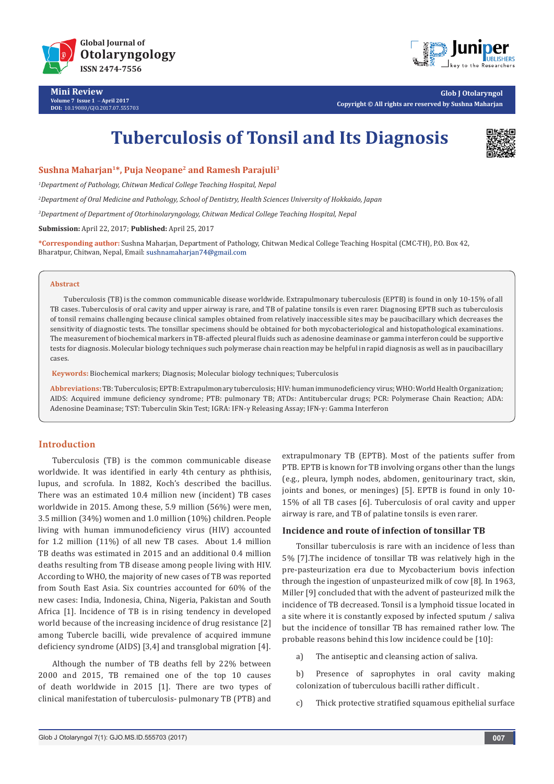

**Mini Review Volume 7 Issue 1** - **April 2017 DOI:** [10.19080/GJO.2017.07.5557](http://dx.doi.org/10.19080/GJO.2017.07.555703)03



**Glob J Otolaryngol Copyright © All rights are reserved by Sushna Maharjan**

# **Tuberculosis of Tonsil and Its Diagnosis**



# **Sushna Maharjan1\*, Puja Neopane2 and Ramesh Parajuli3**

*1 Department of Pathology, Chitwan Medical College Teaching Hospital, Nepal*

*2 Department of Oral Medicine and Pathology, School of Dentistry, Health Sciences University of Hokkaido, Japan*

*3 Department of Department of Otorhinolaryngology, Chitwan Medical College Teaching Hospital, Nepal*

**Submission:** April 22, 2017; **Published:** April 25, 2017

**\*Corresponding author:** Sushna Maharjan, Department of Pathology, Chitwan Medical College Teaching Hospital (CMC-TH), P.O. Box 42, Bharatpur, Chitwan, Nepal, Email: sushnamaharjan74@gmail.com

#### **Abstract**

Tuberculosis (TB) is the common communicable disease worldwide. Extrapulmonary tuberculosis (EPTB) is found in only 10-15% of all TB cases. Tuberculosis of oral cavity and upper airway is rare, and TB of palatine tonsils is even rarer. Diagnosing EPTB such as tuberculosis of tonsil remains challenging because clinical samples obtained from relatively inaccessible sites may be paucibacillary which decreases the sensitivity of diagnostic tests. The tonsillar specimens should be obtained for both mycobacteriological and histopathological examinations. The measurement of biochemical markers in TB-affected pleural fluids such as adenosine deaminase or gamma interferon could be supportive tests for diagnosis. Molecular biology techniques such polymerase chain reaction may be helpful in rapid diagnosis as well as in paucibacillary cases.

**Keywords:** Biochemical markers; Diagnosis; Molecular biology techniques; Tuberculosis

**Abbreviations:** TB: Tuberculosis; EPTB: Extrapulmonary tuberculosis; HIV: human immunodeficiency virus; WHO: World Health Organization; AIDS: Acquired immune deficiency syndrome; PTB: pulmonary TB; ATDs: Antitubercular drugs; PCR: Polymerase Chain Reaction; ADA: Adenosine Deaminase; TST: Tuberculin Skin Test; IGRA: IFN-γ Releasing Assay; IFN-γ: Gamma Interferon

# **Introduction**

Tuberculosis (TB) is the common communicable disease worldwide. It was identified in early 4th century as phthisis, lupus, and scrofula. In 1882, Koch's described the bacillus. There was an estimated 10.4 million new (incident) TB cases worldwide in 2015. Among these, 5.9 million (56%) were men, 3.5 million (34%) women and 1.0 million (10%) children. People living with human immunodeficiency virus (HIV) accounted for 1.2 million (11%) of all new TB cases. About 1.4 million TB deaths was estimated in 2015 and an additional 0.4 million deaths resulting from TB disease among people living with HIV. According to WHO, the majority of new cases of TB was reported from South East Asia. Six countries accounted for 60% of the new cases: India, Indonesia, China, Nigeria, Pakistan and South Africa [1]. Incidence of TB is in rising tendency in developed world because of the increasing incidence of drug resistance [2] among Tubercle bacilli, wide prevalence of acquired immune deficiency syndrome (AIDS) [3,4] and transglobal migration [4].

Although the number of TB deaths fell by 22% between 2000 and 2015, TB remained one of the top 10 causes of death worldwide in 2015 [1]. There are two types of clinical manifestation of tuberculosis- pulmonary TB (PTB) and extrapulmonary TB (EPTB). Most of the patients suffer from PTB. EPTB is known for TB involving organs other than the lungs (e.g., pleura, lymph nodes, abdomen, genitourinary tract, skin, joints and bones, or meninges) [5]. EPTB is found in only 10- 15% of all TB cases [6]. Tuberculosis of oral cavity and upper airway is rare, and TB of palatine tonsils is even rarer.

## **Incidence and route of infection of tonsillar TB**

Tonsillar tuberculosis is rare with an incidence of less than 5% [7].The incidence of tonsillar TB was relatively high in the pre-pasteurization era due to Mycobacterium bovis infection through the ingestion of unpasteurized milk of cow [8]. In 1963, Miller [9] concluded that with the advent of pasteurized milk the incidence of TB decreased. Tonsil is a lymphoid tissue located in a site where it is constantly exposed by infected sputum / saliva but the incidence of tonsillar TB has remained rather low. The probable reasons behind this low incidence could be [10]:

a) The antiseptic and cleansing action of saliva.

b) Presence of saprophytes in oral cavity making colonization of tuberculous bacilli rather difficult .

c) Thick protective stratified squamous epithelial surface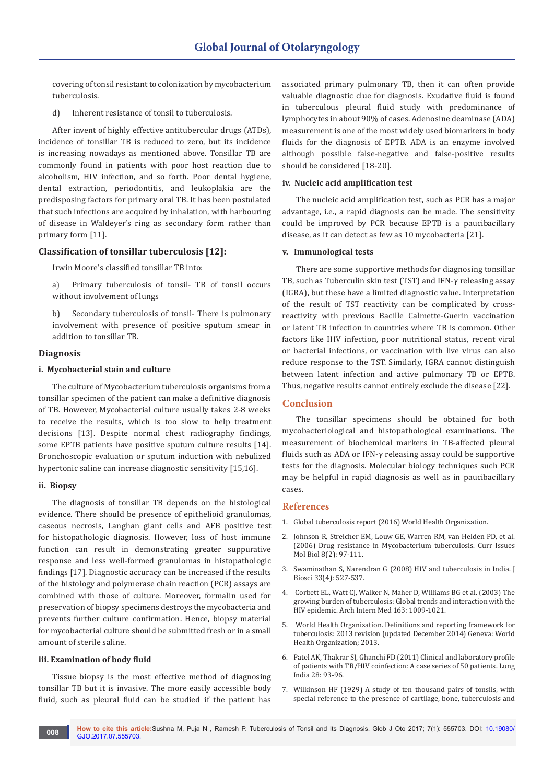covering of tonsil resistant to colonization by mycobacterium tuberculosis.

d) Inherent resistance of tonsil to tuberculosis.

After invent of highly effective antitubercular drugs (ATDs), incidence of tonsillar TB is reduced to zero, but its incidence is increasing nowadays as mentioned above. Tonsillar TB are commonly found in patients with poor host reaction due to alcoholism, HIV infection, and so forth. Poor dental hygiene, dental extraction, periodontitis, and leukoplakia are the predisposing factors for primary oral TB. It has been postulated that such infections are acquired by inhalation, with harbouring of disease in Waldeyer's ring as secondary form rather than primary form [11].

# **Classification of tonsillar tuberculosis [12]:**

Irwin Moore's classified tonsillar TB into:

a) Primary tuberculosis of tonsil- TB of tonsil occurs without involvement of lungs

b) Secondary tuberculosis of tonsil- There is pulmonary involvement with presence of positive sputum smear in addition to tonsillar TB.

## **Diagnosis**

#### **i. Mycobacterial stain and culture**

The culture of Mycobacterium tuberculosis organisms from a tonsillar specimen of the patient can make a definitive diagnosis of TB. However, Mycobacterial culture usually takes 2-8 weeks to receive the results, which is too slow to help treatment decisions [13]. Despite normal chest radiography findings, some EPTB patients have positive sputum culture results [14]. Bronchoscopic evaluation or sputum induction with nebulized hypertonic saline can increase diagnostic sensitivity [15,16].

#### **ii. Biopsy**

The diagnosis of tonsillar TB depends on the histological evidence. There should be presence of epithelioid granulomas, caseous necrosis, Langhan giant cells and AFB positive test for histopathologic diagnosis. However, loss of host immune function can result in demonstrating greater suppurative response and less well-formed granulomas in histopathologic findings [17]. Diagnostic accuracy can be increased if the results of the histology and polymerase chain reaction (PCR) assays are combined with those of culture. Moreover, formalin used for preservation of biopsy specimens destroys the mycobacteria and prevents further culture confirmation. Hence, biopsy material for mycobacterial culture should be submitted fresh or in a small amount of sterile saline.

#### **iii. Examination of body fluid**

Tissue biopsy is the most effective method of diagnosing tonsillar TB but it is invasive. The more easily accessible body fluid, such as pleural fluid can be studied if the patient has

associated primary pulmonary TB, then it can often provide valuable diagnostic clue for diagnosis. Exudative fluid is found in tuberculous pleural fluid study with predominance of lymphocytes in about 90% of cases. Adenosine deaminase (ADA) measurement is one of the most widely used biomarkers in body fluids for the diagnosis of EPTB. ADA is an enzyme involved although possible false-negative and false-positive results should be considered [18-20].

## **iv. Nucleic acid amplification test**

The nucleic acid amplification test, such as PCR has a major advantage, i.e., a rapid diagnosis can be made. The sensitivity could be improved by PCR because EPTB is a paucibacillary disease, as it can detect as few as 10 mycobacteria [21].

## **v. Immunological tests**

There are some supportive methods for diagnosing tonsillar TB, such as Tuberculin skin test (TST) and IFN-γ releasing assay (IGRA), but these have a limited diagnostic value. Interpretation of the result of TST reactivity can be complicated by crossreactivity with previous Bacille Calmette-Guerin vaccination or latent TB infection in countries where TB is common. Other factors like HIV infection, poor nutritional status, recent viral or bacterial infections, or vaccination with live virus can also reduce response to the TST. Similarly, IGRA cannot distinguish between latent infection and active pulmonary TB or EPTB. Thus, negative results cannot entirely exclude the disease [22].

# **Conclusion**

The tonsillar specimens should be obtained for both mycobacteriological and histopathological examinations. The measurement of biochemical markers in TB-affected pleural fluids such as ADA or IFN-γ releasing assay could be supportive tests for the diagnosis. Molecular biology techniques such PCR may be helpful in rapid diagnosis as well as in paucibacillary cases.

## **References**

- 1. [Global tuberculosis report \(2016\) World Health Organization.](http://www.who.int/tb/publications/global_report/gtbr2016_executive_summary.pdf)
- 2. Johnson R, Streicher EM, Louw GE, Warren RM, [van Helden PD, et al.](https://www.ncbi.nlm.nih.gov/pubmed/16878362)  [\(2006\) Drug resistance in Mycobacterium tuberculosis. Curr Issues](https://www.ncbi.nlm.nih.gov/pubmed/16878362)  [Mol Biol 8\(2\): 97-111.](https://www.ncbi.nlm.nih.gov/pubmed/16878362)
- 3. [Swaminathan S, Narendran G \(2008\) HIV and tuberculosis in India. J](https://www.ncbi.nlm.nih.gov/pubmed/19208978)  [Biosci 33\(4\): 527-537.](https://www.ncbi.nlm.nih.gov/pubmed/19208978)
- 4. [Corbett EL, Watt CJ, Walker N, Maher D, Williams BG et al. \(2003\) The](https://www.ncbi.nlm.nih.gov/pubmed/12742798)  [growing burden of tuberculosis: Global trends and interaction with the](https://www.ncbi.nlm.nih.gov/pubmed/12742798)  [HIV epidemic. Arch Intern Med 163: 1009-1021.](https://www.ncbi.nlm.nih.gov/pubmed/12742798)
- 5. World Health Organization. [Definitions and reporting framework for](http://apps.who.int/iris/bitstream/10665/79199/1/9789241505345_eng.pdf)  [tuberculosis: 2013 revision \(updated December 2014\)](http://apps.who.int/iris/bitstream/10665/79199/1/9789241505345_eng.pdf) Geneva: World [Health Organization; 2013.](http://apps.who.int/iris/bitstream/10665/79199/1/9789241505345_eng.pdf)
- 6. [Patel AK, Thakrar SJ, Ghanchi FD \(2011\) Clinical and laboratory profile](https://www.ncbi.nlm.nih.gov/pubmed/21712939)  [of patients with TB/HIV coinfection: A case series of 50 patients.](https://www.ncbi.nlm.nih.gov/pubmed/21712939) Lung India [28: 93-96.](https://www.ncbi.nlm.nih.gov/pubmed/21712939)
- 7. [Wilkinson HF \(1929\) A study of ten thousand pairs of tonsils, with](http://jamanetwork.com/journals/jamaotolaryngology/article-abstract/545278)  [special reference to the presence of cartilage, bone, tuberculosis and](http://jamanetwork.com/journals/jamaotolaryngology/article-abstract/545278)